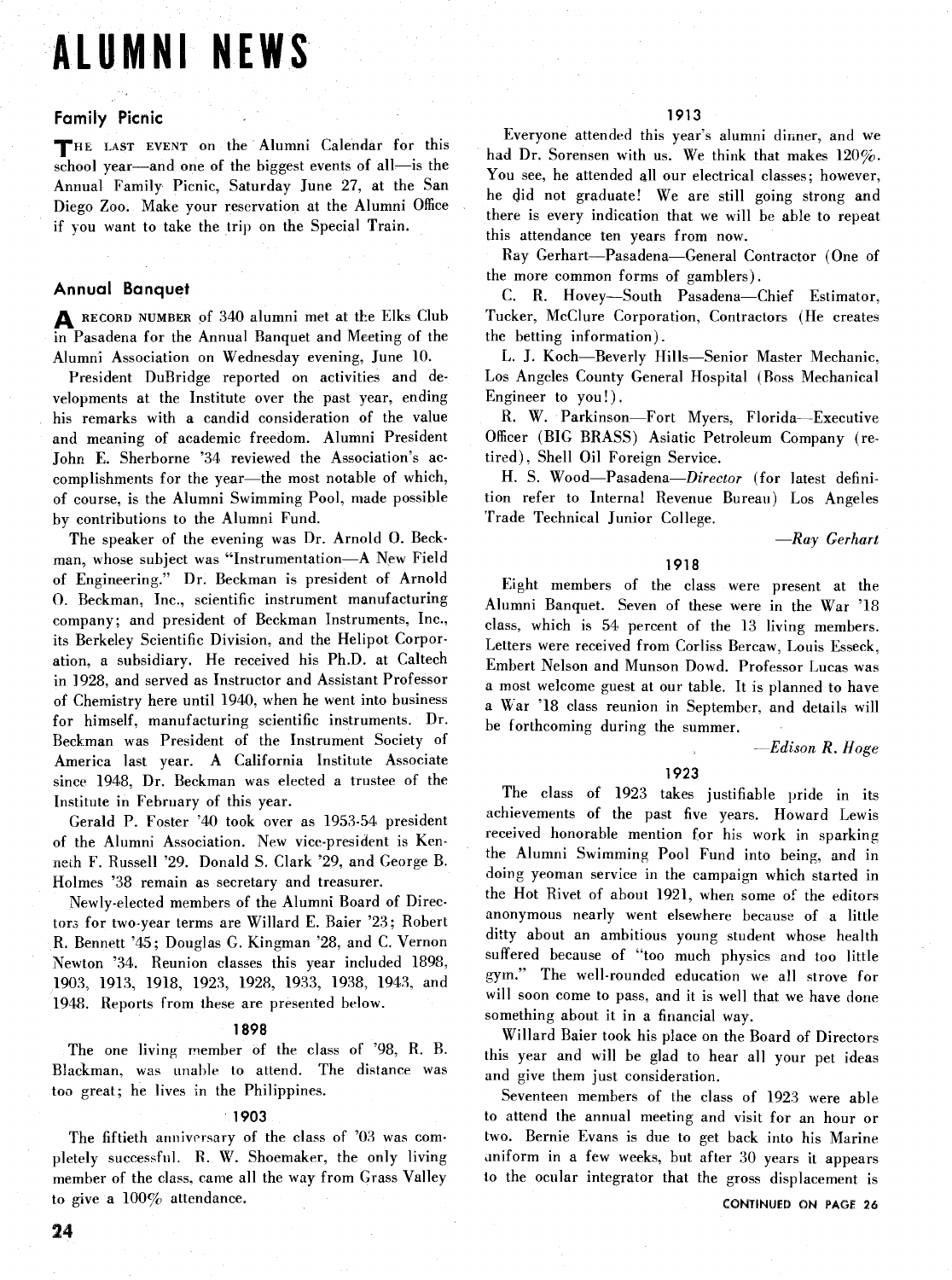# **ALUMNI NEWS**

# **Family Picnic**

THE LAST EVENT on the Alumni Calendar for this school year—and one of the biggest events of all—is the Annual Family Picnic, Saturday June 27, at the San Diego Zoo. Make your reservation at the Alumni Office if you want to take the trip on the Special Train.

# **Annual Banquet**

**A RECORD NUMBER** of 340 alumni met at the Elks Club in Pasadena for the Annual Banquet and Meeting of the Alumni Association on Wednesday evening, June 10.

President DuBridge reported on activities and developments at the Institute over the past year, ending his remarks with a candid consideration of the value and meaning of academic freedom. Alumni President John E. Sherborne '34 reviewed the Association's accomplishments for the year—the most notable of which, of course, is the Alumni Swimming Pool, made possible by contributions to the Alumni Fund.

The speaker of the evening was Dr. Arnold 0. Beckman, whose subject was "Instrumentation-A New Field of Engineering." Dr. Beckman is president of Arnold 0. Beckman, Inc., scientific instrument manufacturing company; and president of Beckman Instruments, Inc., its Berkeley Scientific Division, and the Helipot Corporation, a subsidiary. He received his Ph.D. at Caltech in 1928, and served as Instructor and Assistant Professor of Chemistry here until 1940, when he went into business for himself, manufacturing scientific instruments. Dr. Beckman was President of the Instrument Society of America last year. A California Institute Associate since 1948, Dr. Beckman was elected a trustee of the Institute in February of this year.

Gerald P. Foster '40 took over as 1953-54 president of the Alumni Association. New vice-president is Kenneih F. Russell '29. Donald S. Clark '29, and George B. Holmes '38 remain as secretary and treasurer.

Newly-elected members of the Alumni Board of Directors for two-year terms are Willard E. Baier '23; Robert R. Bennett '45; Douglas *G.* Kingman '28, and C. Vernon Newton '34. Reunion classes this year included 1898, 1903, 1913, 1918, 1923, 1928, 1933, 1938, 1943, and 1948. Reports from these are presented below.

## **1898**

The one living member of the class of '98, R. B. Blackman, was unable to attend. The distance was too great; he lives in the Philippines.

## **1903**

The fiftieth anniversary of the class of '03 was completely successful. R. **W.** Shoemaker, the only living member of the class, came all the way from Grass Valley to give a 100% attendance.

Everyone attended this year's alumni dinner, and we had Dr. Sorensen with us. We think that makes 120%. You see, he attended all our electrical classes; however, he did not graduate! We are still going strong and there is every indication that we will be able to repeat this attendance ten years from now.

Ray Gerhart-Pasadena-General Contractor (One of the more common forms of gamblers).

C. R. Hovey-South Pasadena-Chief Estimator, Tucker, McClure Corporation, Contractors (He creates the betting information).

L. J. Koch-Beverly Hills-Senior Master Mechanic, Los Angeles County General Hospital (Boss Mechanical Engineer to you!).

R. W. Parkinson-Fort Myers, Florida-Executive Officer (BIG BRASS) Asiatic Petroleum Company (retired), Shell Oil Foreign Service.

H. S. Wood-Pasadena-Director (for latest definition refer to Internal Revenue Bureau) Los Angeles Trade Technical Junior College.

*-Ray* Gerhart

# **1918**

Eight members of the class were present at the Alumni Banquet. Seven of these were in the War '18 clash, which is 54 percent of the 13 living members. Letters were received from Corliss Bercaw, Louis Esseck, Embert Nelson and Munson Dowd. Professor Lucas was a most welcome guest at our table. It is planned to have a War '18 class reunion in September, and details will be forthcoming during the summer.

-Edison *R. Hose* 

## **1923**

The class of 1923 takes justifiable pride in its achievements of the past five years. Howard Lewis received honorable mention for his work in sparking the Alumni Swimming Pool Fund into being, and in doing yeoman service in the campaign which started in the Hot Rivet of about 1921, when some of the editors anonymous nearly went elsewhere because of a little ditty about an ambitious young student whose health suffered because of "too much physics and too little gym." The well-rounded education we all strove for will soon come to pass, and it is well that we have done something about it in a financial way.

Willard Baier took his place on the Board of Directors this year and will be glad to hear all your pet ideas and give them just consideration.

Seventeen members of the class of 1923 were able to attend the annual meeting and visit for an hour or two. Bernie Evans is due to get back into his Marine uniform in a few weeks, but after 30 years it appears to the ocular integrator that the gross displacement is

**CONTINUED** ON **PAGE 26**